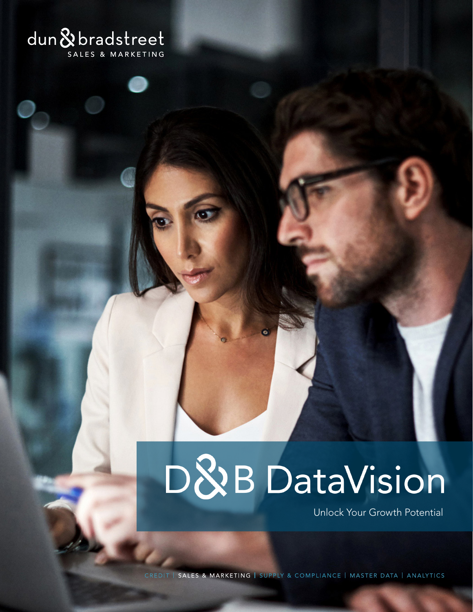## **dun & bradstreet**

# D&B DataVision

Unlock Your Growth Potential

CREDIT | SALES & MARKETING | SUPPLY & COMPLIANCE | MASTER DATA | ANALYTICS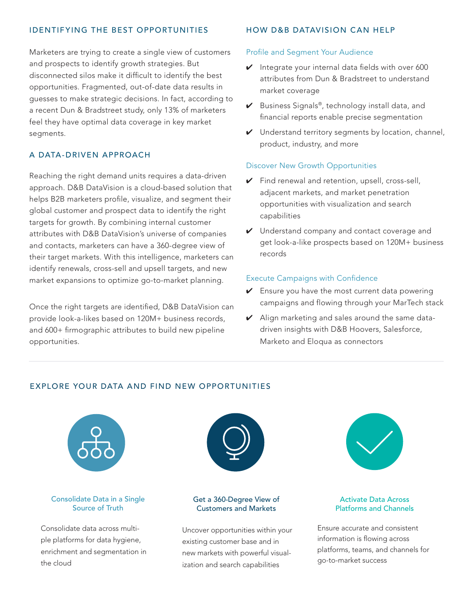### IDENTIFYING THE BEST OPPORTUNITIES

Marketers are trying to create a single view of customers and prospects to identify growth strategies. But disconnected silos make it difficult to identify the best opportunities. Fragmented, out-of-date data results in guesses to make strategic decisions. In fact, according to a recent Dun & Bradstreet study, only 13% of marketers feel they have optimal data coverage in key market segments.

### A DATA- DRIVEN APPROACH

Reaching the right demand units requires a data-driven approach. D&B DataVision is a cloud-based solution that helps B2B marketers profile, visualize, and segment their global customer and prospect data to identify the right targets for growth. By combining internal customer attributes with D&B DataVision's universe of companies and contacts, marketers can have a 360-degree view of their target markets. With this intelligence, marketers can identify renewals, cross-sell and upsell targets, and new market expansions to optimize go-to-market planning.

Once the right targets are identified, D&B DataVision can provide look-a-likes based on 120M+ business records, and 600+ firmographic attributes to build new pipeline opportunities.

#### HOW D&B DATAVISION CAN HELP

#### Profile and Segment Your Audience

- $\vee$  Integrate your internal data fields with over 600 attributes from Dun & Bradstreet to understand market coverage
- $\vee$  Business Signals®, technology install data, and financial reports enable precise segmentation
- ✔ Understand territory segments by location, channel, product, industry, and more

#### Discover New Growth Opportunities

- $\triangleright$  Find renewal and retention, upsell, cross-sell, adjacent markets, and market penetration opportunities with visualization and search capabilities
- ✔ Understand company and contact coverage and get look-a-like prospects based on 120M+ business records

#### Execute Campaigns with Confidence

- $\vee$  Ensure you have the most current data powering campaigns and flowing through your MarTech stack
- $\vee$  Align marketing and sales around the same datadriven insights with D&B Hoovers, Salesforce, Marketo and Eloqua as connectors

#### EXPLORE YOUR DATA AND FIND NEW OPPORTUNITIES



Consolidate Data in a Single Source of Truth

Consolidate data across multiple platforms for data hygiene, enrichment and segmentation in the cloud



#### Get a 360-Degree View of Customers and Markets

Uncover opportunities within your existing customer base and in new markets with powerful visualization and search capabilities



#### Activate Data Across Platforms and Channels

Ensure accurate and consistent information is flowing across platforms, teams, and channels for go-to-market success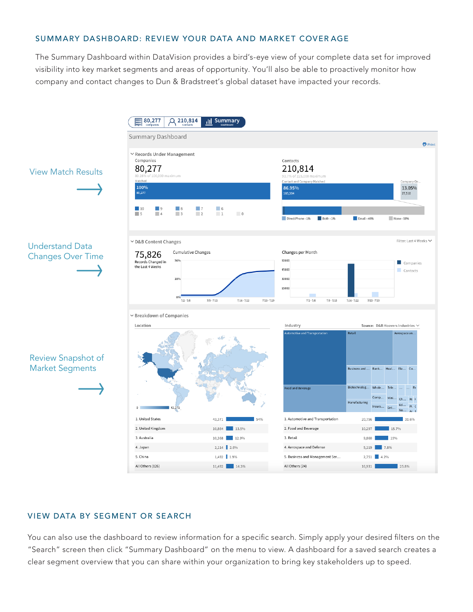#### SUMMARY DASHBOARD: REVIEW YOUR DATA AND MARKET COVER AGE

The Summary Dashboard within DataVision provides a bird's-eye view of your complete data set for improved visibility into key market segments and areas of opportunity. You'll also be able to proactively monitor how company and contact changes to Dun & Bradstreet's global dataset have impacted your records.



#### VIEW DATA BY SEGMENT OR SEARCH

You can also use the dashboard to review information for a specific search. Simply apply your desired filters on the "Search" screen then click "Summary Dashboard" on the menu to view. A dashboard for a saved search creates a clear segment overview that you can share within your organization to bring key stakeholders up to speed.